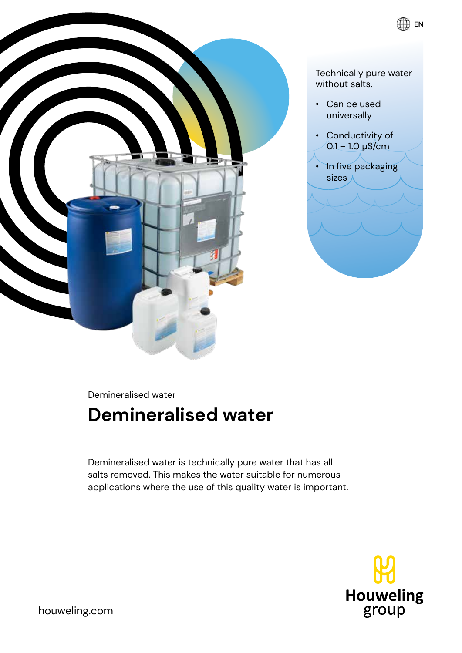

Technically pure water without salts.

**EN**

- Can be used universally
- Conductivity of  $0.1 - 1.0 \mu s/cm$
- In five packaging sizes /

Demineralised water

# **Demineralised water**

Demineralised water is technically pure water that has all salts removed. This makes the water suitable for numerous applications where the use of this quality water is important.